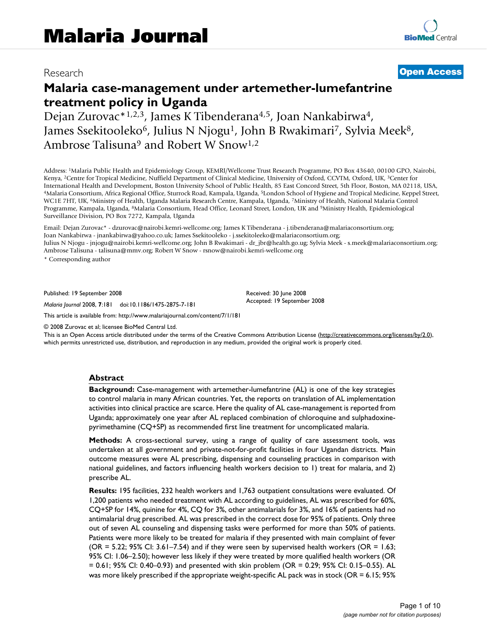# Research **[Open Access](http://www.biomedcentral.com/info/about/charter/)**

# **Malaria case-management under artemether-lumefantrine treatment policy in Uganda**

Dejan Zurovac\*1,2,3, James K Tibenderana4,5, Joan Nankabirwa4, James Ssekitooleko<sup>6</sup>, Julius N Njogu<sup>1</sup>, John B Rwakimari<sup>7</sup>, Sylvia Meek<sup>8</sup>, Ambrose Talisuna9 and Robert W Snow1,2

Address: 1Malaria Public Health and Epidemiology Group, KEMRI/Wellcome Trust Research Programme, PO Box 43640, 00100 GPO, Nairobi, Kenya, 2Centre for Tropical Medicine, Nuffield Department of Clinical Medicine, University of Oxford, CCVTM, Oxford, UK, 3Center for International Health and Development, Boston University School of Public Health, 85 East Concord Street, 5th Floor, Boston, MA 02118, USA, 4Malaria Consortium, Africa Regional Office, Sturrock Road, Kampala, Uganda, 5Londo WC1E 7HT, UK, <sup>6</sup>Ministry of Health, Uganda Malaria Research Centre, Kampala, Uganda, <sup>7</sup>Ministry of Health, National Malaria Control Programme, Kampala, Uganda, 8Malaria Consortium, Head Office, Leonard Street, London, UK and 9Ministry Health, Epidemiological Surveillance Division, PO Box 7272, Kampala, Uganda

Email: Dejan Zurovac\* - dzurovac@nairobi.kemri-wellcome.org; James K Tibenderana - j.tibenderana@malariaconsortium.org; Joan Nankabirwa - jnankabirwa@yahoo.co.uk; James Ssekitooleko - j.ssekitoleeko@malariaconsortium.org;

Julius N Njogu - jnjogu@nairobi.kemri-wellcome.org; John B Rwakimari - dr\_jbr@health.go.ug; Sylvia Meek - s.meek@malariaconsortium.org; Ambrose Talisuna - talisuna@mmv.org; Robert W Snow - rsnow@nairobi.kemri-wellcome.org

\* Corresponding author

Published: 19 September 2008

*Malaria Journal* 2008, **7**:181 doi:10.1186/1475-2875-7-181

Received: 30 June 2008 Accepted: 19 September 2008

[This article is available from: http://www.malariajournal.com/content/7/1/181](http://www.malariajournal.com/content/7/1/181)

© 2008 Zurovac et al; licensee BioMed Central Ltd.

This is an Open Access article distributed under the terms of the Creative Commons Attribution License [\(http://creativecommons.org/licenses/by/2.0\)](http://creativecommons.org/licenses/by/2.0), which permits unrestricted use, distribution, and reproduction in any medium, provided the original work is properly cited.

#### **Abstract**

**Background:** Case-management with artemether-lumefantrine (AL) is one of the key strategies to control malaria in many African countries. Yet, the reports on translation of AL implementation activities into clinical practice are scarce. Here the quality of AL case-management is reported from Uganda; approximately one year after AL replaced combination of chloroquine and sulphadoxinepyrimethamine (CQ+SP) as recommended first line treatment for uncomplicated malaria.

**Methods:** A cross-sectional survey, using a range of quality of care assessment tools, was undertaken at all government and private-not-for-profit facilities in four Ugandan districts. Main outcome measures were AL prescribing, dispensing and counseling practices in comparison with national guidelines, and factors influencing health workers decision to 1) treat for malaria, and 2) prescribe AL.

**Results:** 195 facilities, 232 health workers and 1,763 outpatient consultations were evaluated. Of 1,200 patients who needed treatment with AL according to guidelines, AL was prescribed for 60%, CQ+SP for 14%, quinine for 4%, CQ for 3%, other antimalarials for 3%, and 16% of patients had no antimalarial drug prescribed. AL was prescribed in the correct dose for 95% of patients. Only three out of seven AL counseling and dispensing tasks were performed for more than 50% of patients. Patients were more likely to be treated for malaria if they presented with main complaint of fever (OR =  $5.22$ ;  $95\%$  CI:  $3.61 - 7.54$ ) and if they were seen by supervised health workers (OR =  $1.63$ ; 95% CI: 1.06–2.50); however less likely if they were treated by more qualified health workers (OR = 0.61; 95% CI: 0.40–0.93) and presented with skin problem (OR = 0.29; 95% CI: 0.15–0.55). AL was more likely prescribed if the appropriate weight-specific AL pack was in stock (OR = 6.15; 95%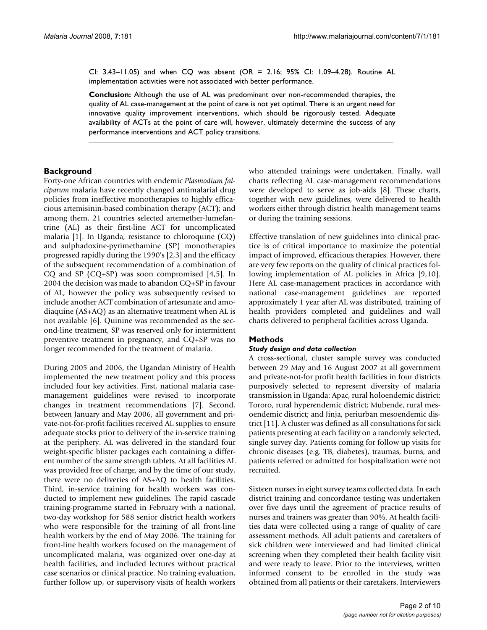CI: 3.43–11.05) and when CQ was absent (OR = 2.16; 95% CI: 1.09–4.28). Routine AL implementation activities were not associated with better performance.

**Conclusion:** Although the use of AL was predominant over non-recommended therapies, the quality of AL case-management at the point of care is not yet optimal. There is an urgent need for innovative quality improvement interventions, which should be rigorously tested. Adequate availability of ACTs at the point of care will, however, ultimately determine the success of any performance interventions and ACT policy transitions.

#### **Background**

Forty-one African countries with endemic *Plasmodium falciparum* malaria have recently changed antimalarial drug policies from ineffective monotherapies to highly efficacious artemisinin-based combination therapy (ACT); and among them, 21 countries selected artemether-lumefantrine (AL) as their first-line ACT for uncomplicated malaria [1]. In Uganda, resistance to chloroquine (CQ) and sulphadoxine-pyrimethamine (SP) monotherapies progressed rapidly during the 1990's [2,3] and the efficacy of the subsequent recommendation of a combination of CQ and SP (CQ+SP) was soon compromised [4,5]. In 2004 the decision was made to abandon CQ+SP in favour of AL, however the policy was subsequently revised to include another ACT combination of artesunate and amodiaquine (AS+AQ) as an alternative treatment when AL is not available [6]. Quinine was recommended as the second-line treatment, SP was reserved only for intermittent preventive treatment in pregnancy, and CQ+SP was no longer recommended for the treatment of malaria.

During 2005 and 2006, the Ugandan Ministry of Health implemented the new treatment policy and this process included four key activities. First, national malaria casemanagement guidelines were revised to incorporate changes in treatment recommendations [7]. Second, between January and May 2006, all government and private-not-for-profit facilities received AL supplies to ensure adequate stocks prior to delivery of the in-service training at the periphery. AL was delivered in the standard four weight-specific blister packages each containing a different number of the same strength tablets. At all facilities AL was provided free of charge, and by the time of our study, there were no deliveries of AS+AQ to health facilities. Third, in-service training for health workers was conducted to implement new guidelines. The rapid cascade training-programme started in February with a national, two-day workshop for 588 senior district health workers who were responsible for the training of all front-line health workers by the end of May 2006. The training for front-line health workers focused on the management of uncomplicated malaria, was organized over one-day at health facilities, and included lectures without practical case scenarios or clinical practice. No training evaluation, further follow up, or supervisory visits of health workers who attended trainings were undertaken. Finally, wall charts reflecting AL case-management recommendations were developed to serve as job-aids [8]. These charts, together with new guidelines, were delivered to health workers either through district health management teams or during the training sessions.

Effective translation of new guidelines into clinical practice is of critical importance to maximize the potential impact of improved, efficacious therapies. However, there are very few reports on the quality of clinical practices following implementation of AL policies in Africa [9,10]. Here AL case-management practices in accordance with national case-management guidelines are reported approximately 1 year after AL was distributed, training of health providers completed and guidelines and wall charts delivered to peripheral facilities across Uganda.

#### **Methods**

#### *Study design and data collection*

A cross-sectional, cluster sample survey was conducted between 29 May and 16 August 2007 at all government and private-not-for profit health facilities in four districts purposively selected to represent diversity of malaria transmission in Uganda: Apac, rural holoendemic district; Tororo, rural hyperendemic district; Mubende, rural mesoendemic district; and Jinja, periurban mesoendemic district [11]. A cluster was defined as all consultations for sick patients presenting at each facility on a randomly selected, single survey day. Patients coming for follow up visits for chronic diseases (e.g. TB, diabetes), traumas, burns, and patients referred or admitted for hospitalization were not recruited.

Sixteen nurses in eight survey teams collected data. In each district training and concordance testing was undertaken over five days until the agreement of practice results of nurses and trainers was greater than 90%. At health facilities data were collected using a range of quality of care assessment methods. All adult patients and caretakers of sick children were interviewed and had limited clinical screening when they completed their health facility visit and were ready to leave. Prior to the interviews, written informed consent to be enrolled in the study was obtained from all patients or their caretakers. Interviewers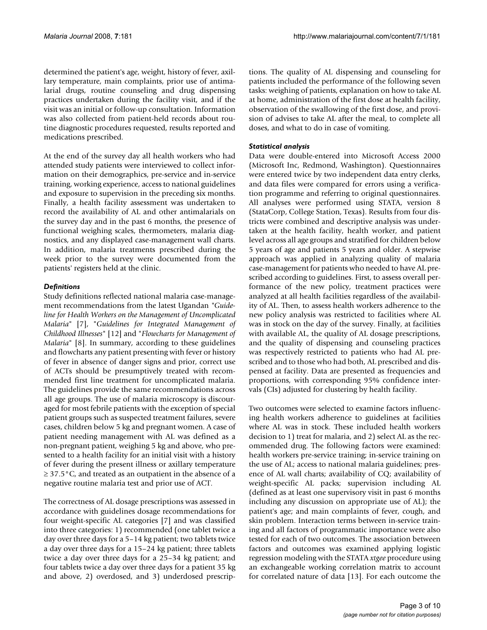determined the patient's age, weight, history of fever, axillary temperature, main complaints, prior use of antimalarial drugs, routine counseling and drug dispensing practices undertaken during the facility visit, and if the visit was an initial or follow-up consultation. Information was also collected from patient-held records about routine diagnostic procedures requested, results reported and medications prescribed.

At the end of the survey day all health workers who had attended study patients were interviewed to collect information on their demographics, pre-service and in-service training, working experience, access to national guidelines and exposure to supervision in the preceding six months. Finally, a health facility assessment was undertaken to record the availability of AL and other antimalarials on the survey day and in the past 6 months, the presence of functional weighing scales, thermometers, malaria diagnostics, and any displayed case-management wall charts. In addition, malaria treatments prescribed during the week prior to the survey were documented from the patients' registers held at the clinic.

# *Definitions*

Study definitions reflected national malaria case-management recommendations from the latest Ugandan *"Guideline for Health Workers on the Management of Uncomplicated Malaria*" [7], "*Guidelines for Integrated Management of Childhood Illnesses*" [12] and "*Flowcharts for Management of Malaria*" [8]. In summary, according to these guidelines and flowcharts any patient presenting with fever or history of fever in absence of danger signs and prior, correct use of ACTs should be presumptively treated with recommended first line treatment for uncomplicated malaria. The guidelines provide the same recommendations across all age groups. The use of malaria microscopy is discouraged for most febrile patients with the exception of special patient groups such as suspected treatment failures, severe cases, children below 5 kg and pregnant women. A case of patient needing management with AL was defined as a non-pregnant patient, weighing 5 kg and above, who presented to a health facility for an initial visit with a history of fever during the present illness or axillary temperature  $\geq$  37.5°C, and treated as an outpatient in the absence of a negative routine malaria test and prior use of ACT.

The correctness of AL dosage prescriptions was assessed in accordance with guidelines dosage recommendations for four weight-specific AL categories [7] and was classified into three categories: 1) recommended (one tablet twice a day over three days for a 5–14 kg patient; two tablets twice a day over three days for a 15–24 kg patient; three tablets twice a day over three days for a 25–34 kg patient; and four tablets twice a day over three days for a patient 35 kg and above, 2) overdosed, and 3) underdosed prescriptions. The quality of AL dispensing and counseling for patients included the performance of the following seven tasks: weighing of patients, explanation on how to take AL at home, administration of the first dose at health facility, observation of the swallowing of the first dose, and provision of advises to take AL after the meal, to complete all doses, and what to do in case of vomiting.

# *Statistical analysis*

Data were double-entered into Microsoft Access 2000 (Microsoft Inc, Redmond, Washington). Questionnaires were entered twice by two independent data entry clerks, and data files were compared for errors using a verification programme and referring to original questionnaires. All analyses were performed using STATA, version 8 (StataCorp, College Station, Texas). Results from four districts were combined and descriptive analysis was undertaken at the health facility, health worker, and patient level across all age groups and stratified for children below 5 years of age and patients 5 years and older. A stepwise approach was applied in analyzing quality of malaria case-management for patients who needed to have AL prescribed according to guidelines. First, to assess overall performance of the new policy, treatment practices were analyzed at all health facilities regardless of the availability of AL. Then, to assess health workers adherence to the new policy analysis was restricted to facilities where AL was in stock on the day of the survey. Finally, at facilities with available AL, the quality of AL dosage prescriptions, and the quality of dispensing and counseling practices was respectively restricted to patients who had AL prescribed and to those who had both, AL prescribed and dispensed at facility. Data are presented as frequencies and proportions, with corresponding 95% confidence intervals (CIs) adjusted for clustering by health facility.

Two outcomes were selected to examine factors influencing health workers adherence to guidelines at facilities where AL was in stock. These included health workers decision to 1) treat for malaria, and 2) select AL as the recommended drug. The following factors were examined: health workers pre-service training; in-service training on the use of AL; access to national malaria guidelines; presence of AL wall charts; availability of CQ; availability of weight-specific AL packs; supervision including AL (defined as at least one supervisory visit in past 6 months including any discussion on appropriate use of AL); the patient's age; and main complaints of fever, cough, and skin problem. Interaction terms between in-service training and all factors of programmatic importance were also tested for each of two outcomes. The association between factors and outcomes was examined applying logistic regression modeling with the STATA *xtgee* procedure using an exchangeable working correlation matrix to account for correlated nature of data [13]. For each outcome the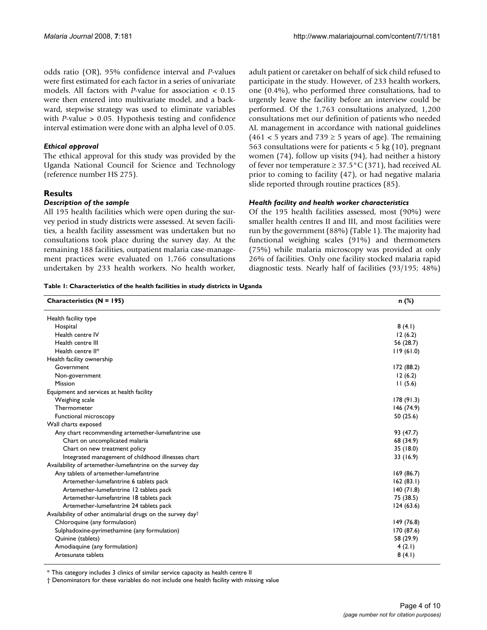odds ratio (OR), 95% confidence interval and *P*-values were first estimated for each factor in a series of univariate models. All factors with *P*-value for association < 0.15 were then entered into multivariate model, and a backward, stepwise strategy was used to eliminate variables with *P*-value > 0.05. Hypothesis testing and confidence interval estimation were done with an alpha level of 0.05.

### *Ethical approval*

The ethical approval for this study was provided by the Uganda National Council for Science and Technology (reference number HS 275).

# **Results**

#### *Description of the sample*

All 195 health facilities which were open during the survey period in study districts were assessed. At seven facilities, a health facility assessment was undertaken but no consultations took place during the survey day. At the remaining 188 facilities, outpatient malaria case-management practices were evaluated on 1,766 consultations undertaken by 233 health workers. No health worker,

adult patient or caretaker on behalf of sick child refused to participate in the study. However, of 233 health workers, one (0.4%), who performed three consultations, had to urgently leave the facility before an interview could be performed. Of the 1,763 consultations analyzed, 1,200 consultations met our definition of patients who needed AL management in accordance with national guidelines  $(461 < 5$  years and 739  $\geq 5$  years of age). The remaining 563 consultations were for patients  $<$  5 kg (10), pregnant women (74), follow up visits (94), had neither a history of fever nor temperature  $\geq 37.5^{\circ}$ C (371), had received AL prior to coming to facility (47), or had negative malaria slide reported through routine practices (85).

# *Health facility and health worker characteristics*

Of the 195 health facilities assessed, most (90%) were smaller health centres II and III, and most facilities were run by the government (88%) (Table 1). The majority had functional weighing scales (91%) and thermometers (75%) while malaria microscopy was provided at only 26% of facilities. Only one facility stocked malaria rapid diagnostic tests. Nearly half of facilities (93/195; 48%)

**Table 1: Characteristics of the health facilities in study districts in Uganda**

| Characteristics ( $N = 195$ )                                           | n(%)       |
|-------------------------------------------------------------------------|------------|
| Health facility type                                                    |            |
| Hospital                                                                | 8(4.1)     |
| Health centre IV                                                        | 12(6.2)    |
| Health centre III                                                       | 56 (28.7)  |
| Health centre II*                                                       | 119(61.0)  |
| Health facility ownership                                               |            |
| Government                                                              | 172 (88.2) |
| Non-government                                                          | 12(6.2)    |
| Mission                                                                 | 11(5.6)    |
| Equipment and services at health facility                               |            |
| Weighing scale                                                          | 178(91.3)  |
| Thermometer                                                             | 146 (74.9) |
| Functional microscopy                                                   | 50(25.6)   |
| Wall charts exposed                                                     |            |
| Any chart recommending artemether-lumefantrine use                      | 93 (47.7)  |
| Chart on uncomplicated malaria                                          | 68 (34.9)  |
| Chart on new treatment policy                                           | 35 (18.0)  |
| Integrated management of childhood illnesses chart                      | 33(16.9)   |
| Availability of artemether-lumefantrine on the survey day               |            |
| Any tablets of artemether-lumefantrine                                  | 169 (86.7) |
| Artemether-lumefantrine 6 tablets pack                                  | 162(83.1)  |
| Artemether-lumefantrine 12 tablets pack                                 | 140(71.8)  |
| Artemether-lumefantrine 18 tablets pack                                 | 75 (38.5)  |
| Artemether-lumefantrine 24 tablets pack                                 | 124(63.6)  |
| Availability of other antimalarial drugs on the survey day <sup>†</sup> |            |
| Chloroquine (any formulation)                                           | 149 (76.8) |
| Sulphadoxine-pyrimethamine (any formulation)                            | 170 (87.6) |
| Quinine (tablets)                                                       | 58 (29.9)  |
| Amodiaguine (any formulation)                                           | 4(2.1)     |
| Artesunate tablets                                                      | 8(4.1)     |
|                                                                         |            |

\* This category includes 3 clinics of similar service capacity as health centre II

† Denominators for these variables do not include one health facility with missing value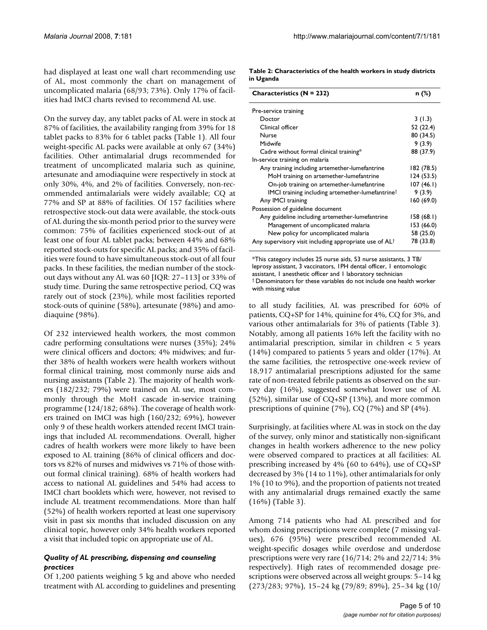had displayed at least one wall chart recommending use of AL, most commonly the chart on management of uncomplicated malaria (68/93; 73%). Only 17% of facilities had IMCI charts revised to recommend AL use.

On the survey day, any tablet packs of AL were in stock at 87% of facilities, the availability ranging from 39% for 18 tablet packs to 83% for 6 tablet packs (Table 1). All four weight-specific AL packs were available at only 67 (34%) facilities. Other antimalarial drugs recommended for treatment of uncomplicated malaria such as quinine, artesunate and amodiaquine were respectively in stock at only 30%, 4%, and 2% of facilities. Conversely, non-recommended antimalarials were widely available; CQ at 77% and SP at 88% of facilities. Of 157 facilities where retrospective stock-out data were available, the stock-outs of AL during the six-month period prior to the survey were common: 75% of facilities experienced stock-out of at least one of four AL tablet packs; between 44% and 68% reported stock-outs for specific AL packs; and 35% of facilities were found to have simultaneous stock-out of all four packs. In these facilities, the median number of the stockout days without any AL was 60 [IQR: 27–113] or 33% of study time. During the same retrospective period, CQ was rarely out of stock (23%), while most facilities reported stock-outs of quinine (58%), artesunate (98%) and amodiaquine (98%).

Of 232 interviewed health workers, the most common cadre performing consultations were nurses (35%); 24% were clinical officers and doctors; 4% midwives; and further 38% of health workers were health workers without formal clinical training, most commonly nurse aids and nursing assistants (Table 2). The majority of health workers (182/232; 79%) were trained on AL use, most commonly through the MoH cascade in-service training programme (124/182; 68%). The coverage of health workers trained on IMCI was high (160/232; 69%), however only 9 of these health workers attended recent IMCI trainings that included AL recommendations. Overall, higher cadres of health workers were more likely to have been exposed to AL training (86% of clinical officers and doctors vs 82% of nurses and midwives vs 71% of those without formal clinical training). 68% of health workers had access to national AL guidelines and 54% had access to IMCI chart booklets which were, however, not revised to include AL treatment recommendations. More than half (52%) of health workers reported at least one supervisory visit in past six months that included discussion on any clinical topic, however only 34% health workers reported a visit that included topic on appropriate use of AL.

#### *Quality of AL prescribing, dispensing and counseling practices*

Of 1,200 patients weighing 5 kg and above who needed treatment with AL according to guidelines and presenting

**Table 2: Characteristics of the health workers in study districts in Uganda**

| Characteristics ( $N = 232$ )                                     | n (%)      |
|-------------------------------------------------------------------|------------|
| Pre-service training                                              |            |
| Doctor                                                            | 3(1.3)     |
| Clinical officer                                                  | 52 (22.4)  |
| Nurse                                                             | 80 (34.5)  |
| Midwife                                                           | 9(3.9)     |
| Cadre without formal clinical training*                           | 88 (37.9)  |
| In-service training on malaria                                    |            |
| Any training including artemether-lumefantrine                    | 182 (78.5) |
| MoH training on artemether-lumefantrine                           | 124(53.5)  |
| On-job training on artemether-lumefantrine                        | 107(46.1)  |
| IMCI training including artemether-lumefantrinet                  | 9(3.9)     |
| Any IMCI training                                                 | 160 (69.0) |
| Possession of guideline document                                  |            |
| Any guideline including artemether-lumefantrine                   | 158(68.1)  |
| Management of uncomplicated malaria                               | 153 (66.0) |
| New policy for uncomplicated malaria                              | 58 (25.0)  |
| Any supervisory visit including appropriate use of $AL^{\dagger}$ | 78 (33.8)  |

\*This category includes 25 nurse aids, 53 nurse assistants, 3 TB/ leprosy assistant, 3 vaccinators, 1PH dental officer, 1 entomologic assistant, 1 anesthetic officer and 1 laboratory technician † Denominators for these variables do not include one health worker with missing value

to all study facilities, AL was prescribed for 60% of patients, CQ+SP for 14%, quinine for 4%, CQ for 3%, and various other antimalarials for 3% of patients (Table 3). Notably, among all patients 16% left the facility with no antimalarial prescription, similar in children < 5 years (14%) compared to patients 5 years and older (17%). At the same facilities, the retrospective one-week review of 18,917 antimalarial prescriptions adjusted for the same rate of non-treated febrile patients as observed on the survey day (16%), suggested somewhat lower use of AL (52%), similar use of CQ+SP (13%), and more common prescriptions of quinine (7%), CQ (7%) and SP (4%).

Surprisingly, at facilities where AL was in stock on the day of the survey, only minor and statistically non-significant changes in health workers adherence to the new policy were observed compared to practices at all facilities: AL prescribing increased by 4% (60 to 64%), use of CQ+SP decreased by 3% (14 to 11%), other antimalarials for only 1% (10 to 9%), and the proportion of patients not treated with any antimalarial drugs remained exactly the same (16%) (Table 3).

Among 714 patients who had AL prescribed and for whom dosing prescriptions were complete (7 missing values), 676 (95%) were prescribed recommended AL weight-specific dosages while overdose and underdose prescriptions were very rare (16/714; 2% and 22/714; 3% respectively). High rates of recommended dosage prescriptions were observed across all weight groups: 5–14 kg (273/283; 97%), 15–24 kg (79/89; 89%), 25–34 kg (10/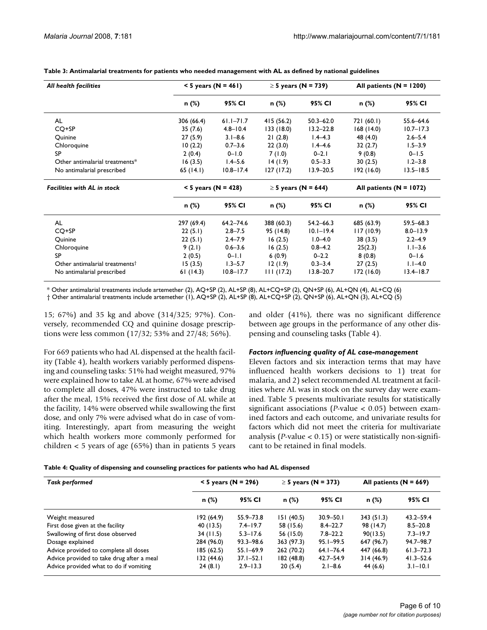| <b>All health facilities</b>               | $< 5$ years (N = 461) |               | $\geq$ 5 years (N = 739) |               | All patients ( $N = 1200$ ) |               |
|--------------------------------------------|-----------------------|---------------|--------------------------|---------------|-----------------------------|---------------|
|                                            | n (%)                 | 95% CI        | n (%)                    | 95% CI        | n (%)                       | 95% CI        |
| AL                                         | 306 (66.4)            | $61.1 - 71.7$ | 415(56.2)                | $50.3 - 62.0$ | 721 (60.1)                  | 55.6-64.6     |
| CQ+SP                                      | 35 (7.6)              | $4.8 - 10.4$  | 133(18.0)                | $13.2 - 22.8$ | 168(14.0)                   | $10.7 - 17.3$ |
| Ouinine                                    | 27(5.9)               | $3.1 - 8.6$   | 21(2.8)                  | $1.4 - 4.3$   | 48 (4.0)                    | $2.6 - 5.4$   |
| Chloroquine                                | 10(2.2)               | $0.7 - 3.6$   | 22(3.0)                  | $1.4 - 4.6$   | 32(2.7)                     | $1.5 - 3.9$   |
| SP                                         | 2(0.4)                | $0 - 1.0$     | 7(1.0)                   | $0 - 2.1$     | 9(0.8)                      | $0 - 1.5$     |
| Other antimalarial treatments*             | 16(3.5)               | $1.4 - 5.6$   | 14(1.9)                  | $0.5 - 3.3$   | 30(2.5)                     | $1.2 - 3.8$   |
| No antimalarial prescribed                 | 65(14.1)              | $10.8 - 17.4$ | 127(17.2)                | $13.9 - 20.5$ | 192 (16.0)                  | $13.5 - 18.5$ |
| <b>Facilities with AL in stock</b>         | $< 5$ years (N = 428) |               | $\geq$ 5 years (N = 644) |               | All patients ( $N = 1072$ ) |               |
|                                            | n (%)                 | 95% CI        | n (%)                    | 95% CI        | n (%)                       | 95% CI        |
| AL                                         | 297 (69.4)            | $64.2 - 74.6$ | 388 (60.3)               | $54.2 - 66.3$ | 685 (63.9)                  | $59.5 - 68.3$ |
| $CO+SP$                                    | 22(5.1)               | $2.8 - 7.5$   | 95 (14.8)                | $10.1 - 19.4$ | 117(10.9)                   | $8.0 - 13.9$  |
| Quinine                                    | 22(5.1)               | $2.4 - 7.9$   | 16(2.5)                  | $1.0 - 4.0$   | 38(3.5)                     | $2.2 - 4.9$   |
| Chloroquine                                | 9(2.1)                | $0.6 - 3.6$   | 16(2.5)                  | $0.8 - 4.2$   | 25(2.3)                     | $1.1 - 3.6$   |
| <b>SP</b>                                  | 2(0.5)                | $0 - 1.1$     | 6(0.9)                   | $0 - 2.2$     | 8(0.8)                      | $0 - 1.6$     |
| Other antimalarial treatments <sup>†</sup> | 15(3.5)               | $1.3 - 5.7$   | 12(1.9)                  | $0.3 - 3.4$   | 27(2.5)                     | $1.1 - 4.0$   |
| No antimalarial prescribed                 | 61(14.3)              | $10.8 - 17.7$ | 111(17.2)                | $13.8 - 20.7$ | 172(16.0)                   | $13.4 - 18.7$ |

#### **Table 3: Antimalarial treatments for patients who needed management with AL as defined by national guidelines**

\* Other antimalarial treatments include artemether (2), AQ+SP (2), AL+SP (8), AL+CQ+SP (2), QN+SP (6), AL+QN (4), AL+CQ (6)

† Other antimalarial treatments include artemether (1), AQ+SP (2), AL+SP (8), AL+CQ+SP (2), QN+SP (6), AL+QN (3), AL+CQ (5)

15; 67%) and 35 kg and above (314/325; 97%). Conversely, recommended CQ and quinine dosage prescriptions were less common (17/32; 53% and 27/48; 56%).

For 669 patients who had AL dispensed at the health facility (Table 4), health workers variably performed dispensing and counseling tasks: 51% had weight measured, 97% were explained how to take AL at home, 67% were advised to complete all doses, 47% were instructed to take drug after the meal, 15% received the first dose of AL while at the facility, 14% were observed while swallowing the first dose, and only 7% were advised what do in case of vomiting. Interestingly, apart from measuring the weight which health workers more commonly performed for children < 5 years of age (65%) than in patients 5 years and older (41%), there was no significant difference between age groups in the performance of any other dispensing and counseling tasks (Table 4).

#### *Factors influencing quality of AL case-management*

Eleven factors and six interaction terms that may have influenced health workers decisions to 1) treat for malaria, and 2) select recommended AL treatment at facilities where AL was in stock on the survey day were examined. Table 5 presents multivariate results for statistically significant associations (*P*-value < 0.05) between examined factors and each outcome, and univariate results for factors which did not meet the criteria for multivariate analysis (*P*-value < 0.15) or were statistically non-significant to be retained in final models.

|  |  | Table 4: Quality of dispensing and counseling practices for patients who had AL dispensed |
|--|--|-------------------------------------------------------------------------------------------|
|  |  |                                                                                           |

| Task performed                            | $<$ 5 years (N = 296) |               | $\geq$ 5 years (N = 373) |               | All patients $(N = 669)$ |               |
|-------------------------------------------|-----------------------|---------------|--------------------------|---------------|--------------------------|---------------|
|                                           | $n$ (%)               | 95% CI        | $n$ (%)                  | 95% CI        | $n$ (%)                  | 95% CI        |
| Weight measured                           | 192 (64.9)            | $55.9 - 73.8$ | 151(40.5)                | $30.9 - 50.1$ | 343(51.3)                | $43.2 - 59.4$ |
| First dose given at the facility          | 40(13.5)              | $7.4 - 19.7$  | 58 (15.6)                | $8.4 - 22.7$  | 98 (14.7)                | $8.5 - 20.8$  |
| Swallowing of first dose observed         | 34(11.5)              | $5.3 - 17.6$  | 56 (15.0)                | $7.8 - 22.2$  | 90(13.5)                 | $7.3 - 19.7$  |
| Dosage explained                          | 284 (96.0)            | 93.3-98.6     | 363 (97.3)               | $95.1 - 99.5$ | 647 (96.7)               | 94.7-98.7     |
| Advice provided to complete all doses     | 185 (62.5)            | $55.1 - 69.9$ | 262 (70.2)               | $64.1 - 76.4$ | 447 (66.8)               | $61.3 - 72.3$ |
| Advice provided to take drug after a meal | 132 (44.6)            | $37.1 - 52.1$ | 182 (48.8)               | $42.7 - 54.9$ | 314(46.9)                | $41.3 - 52.6$ |
| Advice provided what to do if vomiting    | 24(8.1)               | $2.9 - 13.3$  | 20(5.4)                  | $2.1 - 8.6$   | 44 (6.6)                 | $3.1 - 10.1$  |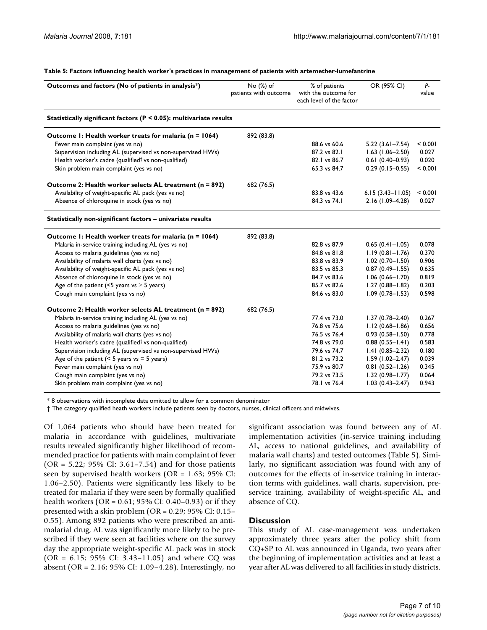| Outcomes and factors (No of patients in analysis*)                 | No (%) of<br>patients with outcome | % of patients<br>with the outcome for<br>each level of the factor | OR (95% CI)          | $P -$<br>value |  |  |  |  |
|--------------------------------------------------------------------|------------------------------------|-------------------------------------------------------------------|----------------------|----------------|--|--|--|--|
| Statistically significant factors (P < 0.05): multivariate results |                                    |                                                                   |                      |                |  |  |  |  |
| Outcome I: Health worker treats for malaria (n = 1064)             | 892 (83.8)                         |                                                                   |                      |                |  |  |  |  |
| Fever main complaint (yes vs no)                                   |                                    | 88.6 vs 60.6                                                      | $5.22(3.61 - 7.54)$  | < 0.001        |  |  |  |  |
| Supervision including AL (supervised vs non-supervised HWs)        |                                    | 87.2 vs 82.1                                                      | $1.63$ (1.06-2.50)   | 0.027          |  |  |  |  |
| Health worker's cadre (qualified <sup>†</sup> vs non-qualified)    |                                    | 82.1 vs 86.7                                                      | $0.61(0.40-0.93)$    | 0.020          |  |  |  |  |
| Skin problem main complaint (yes vs no)                            |                                    | 65.3 vs 84.7                                                      | $0.29(0.15 - 0.55)$  | < 0.001        |  |  |  |  |
| Outcome 2: Health worker selects AL treatment (n = 892)            | 682 (76.5)                         |                                                                   |                      |                |  |  |  |  |
| Availability of weight-specific AL pack (yes vs no)                |                                    | 83.8 vs 43.6                                                      | $6.15(3.43 - 11.05)$ | < 0.001        |  |  |  |  |
| Absence of chloroquine in stock (yes vs no)                        |                                    | 84.3 vs 74.1                                                      | 2.16 (1.09-4.28)     | 0.027          |  |  |  |  |
| Statistically non-significant factors - univariate results         |                                    |                                                                   |                      |                |  |  |  |  |
| Outcome I: Health worker treats for malaria (n = 1064)             | 892 (83.8)                         |                                                                   |                      |                |  |  |  |  |
| Malaria in-service training including AL (yes vs no)               |                                    | 82.8 vs 87.9                                                      | $0.65(0.41 - 1.05)$  | 0.078          |  |  |  |  |
| Access to malaria guidelines (yes vs no)                           |                                    | 84.8 vs 81.8                                                      | $1.19(0.81 - 1.76)$  | 0.370          |  |  |  |  |
| Availability of malaria wall charts (yes vs no)                    |                                    | 83.8 vs 83.9                                                      | $1.02(0.70 - 1.50)$  | 0.906          |  |  |  |  |
| Availability of weight-specific AL pack (yes vs no)                |                                    | 83.5 vs 85.3                                                      | $0.87(0.49 - 1.55)$  | 0.635          |  |  |  |  |
| Absence of chloroquine in stock (yes vs no)                        |                                    | 84.7 vs 83.6                                                      | $1.06(0.66 - 1.70)$  | 0.819          |  |  |  |  |
| Age of the patient (<5 years vs $\geq$ 5 years)                    |                                    | 85.7 vs 82.6                                                      | $1.27(0.88 - 1.82)$  | 0.203          |  |  |  |  |
| Cough main complaint (yes vs no)                                   |                                    | 84.6 vs 83.0                                                      | $1.09(0.78 - 1.53)$  | 0.598          |  |  |  |  |
| Outcome 2: Health worker selects AL treatment (n = 892)            | 682 (76.5)                         |                                                                   |                      |                |  |  |  |  |
| Malaria in-service training including AL (yes vs no)               |                                    | 77.4 vs 73.0                                                      | $1.37(0.78 - 2.40)$  | 0.267          |  |  |  |  |
| Access to malaria guidelines (yes vs no)                           |                                    | 76.8 vs 75.6                                                      | $1.12(0.68 - 1.86)$  | 0.656          |  |  |  |  |
| Availability of malaria wall charts (yes vs no)                    |                                    | 76.5 vs 76.4                                                      | $0.93(0.58 - 1.50)$  | 0.778          |  |  |  |  |
| Health worker's cadre (qualified <sup>†</sup> vs non-qualified)    |                                    | 74.8 vs 79.0                                                      | $0.88(0.55 - 1.41)$  | 0.583          |  |  |  |  |
| Supervision including AL (supervised vs non-supervised HWs)        |                                    | 79.6 vs 74.7                                                      | $1.41(0.85 - 2.32)$  | 0.180          |  |  |  |  |
| Age of the patient $($ < 5 years vs = 5 years)                     |                                    | 81.2 vs 73.2                                                      | $1.59(1.02 - 2.47)$  | 0.039          |  |  |  |  |
| Fever main complaint (yes vs no)                                   |                                    | 75.9 vs 80.7                                                      | $0.81(0.52 - 1.26)$  | 0.345          |  |  |  |  |
| Cough main complaint (yes vs no)                                   |                                    | 79.2 vs 73.5                                                      | $1.32(0.98 - 1.77)$  | 0.064          |  |  |  |  |
| Skin problem main complaint (yes vs no)                            |                                    | 78.1 vs 76.4                                                      | $1.03(0.43 - 2.47)$  | 0.943          |  |  |  |  |

#### **Table 5: Factors influencing health worker's practices in management of patients with artemether-lumefantrine**

\* 8 observations with incomplete data omitted to allow for a common denominator

† The category qualified heath workers include patients seen by doctors, nurses, clinical officers and midwives.

Of 1,064 patients who should have been treated for malaria in accordance with guidelines, multivariate results revealed significantly higher likelihood of recommended practice for patients with main complaint of fever (OR = 5.22; 95% CI: 3.61–7.54) and for those patients seen by supervised health workers (OR = 1.63; 95% CI: 1.06–2.50). Patients were significantly less likely to be treated for malaria if they were seen by formally qualified health workers (OR = 0.61; 95% CI: 0.40–0.93) or if they presented with a skin problem (OR = 0.29; 95% CI: 0.15– 0.55). Among 892 patients who were prescribed an antimalarial drug, AL was significantly more likely to be prescribed if they were seen at facilities where on the survey day the appropriate weight-specific AL pack was in stock (OR = 6.15; 95% CI: 3.43–11.05) and where CQ was absent (OR = 2.16; 95% CI: 1.09–4.28). Interestingly, no

significant association was found between any of AL implementation activities (in-service training including AL, access to national guidelines, and availability of malaria wall charts) and tested outcomes (Table 5). Similarly, no significant association was found with any of outcomes for the effects of in-service training in interaction terms with guidelines, wall charts, supervision, preservice training, availability of weight-specific AL, and absence of CQ.

#### **Discussion**

This study of AL case-management was undertaken approximately three years after the policy shift from CQ+SP to AL was announced in Uganda, two years after the beginning of implementation activities and at least a year after AL was delivered to all facilities in study districts.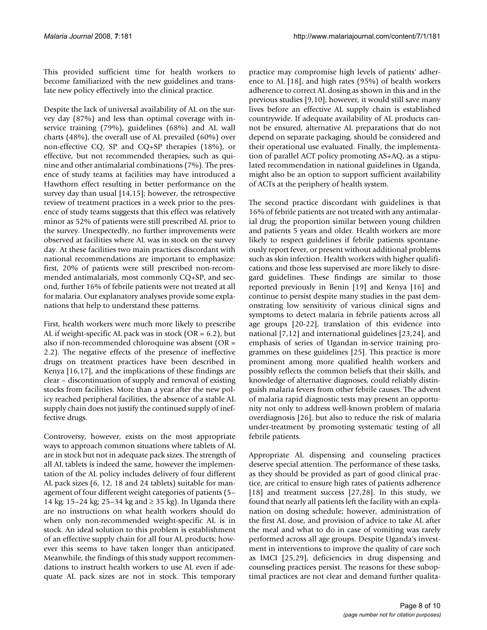This provided sufficient time for health workers to become familiarized with the new guidelines and translate new policy effectively into the clinical practice.

Despite the lack of universal availability of AL on the survey day (87%) and less than optimal coverage with inservice training (79%), guidelines (68%) and AL wall charts (48%), the overall use of AL prevailed (60%) over non-effective CQ, SP and CQ+SP therapies (18%), or effective, but not recommended therapies, such as quinine and other antimalarial combinations (7%). The presence of study teams at facilities may have introduced a Hawthorn effect resulting in better performance on the survey day than usual [14,15]; however, the retrospective review of treatment practices in a week prior to the presence of study teams suggests that this effect was relatively minor as 52% of patients were still prescribed AL prior to the survey. Unexpectedly, no further improvements were observed at facilities where AL was in stock on the survey day. At these facilities two main practices discordant with national recommendations are important to emphasize: first, 20% of patients were still prescribed non-recommended antimalarials, most commonly CQ+SP, and second, further 16% of febrile patients were not treated at all for malaria. Our explanatory analyses provide some explanations that help to understand these patterns.

First, health workers were much more likely to prescribe AL if weight-specific AL pack was in stock ( $OR = 6.2$ ), but also if non-recommended chloroquine was absent (OR = 2.2). The negative effects of the presence of ineffective drugs on treatment practices have been described in Kenya [16,17], and the implications of these findings are clear – discontinuation of supply and removal of existing stocks from facilities. More than a year after the new policy reached peripheral facilities, the absence of a stable AL supply chain does not justify the continued supply of ineffective drugs.

Controversy, however, exists on the most appropriate ways to approach common situations where tablets of AL are in stock but not in adequate pack sizes. The strength of all AL tablets is indeed the same, however the implementation of the AL policy includes delivery of four different AL pack sizes (6, 12, 18 and 24 tablets) suitable for management of four different weight categories of patients (5– 14 kg; 15–24 kg; 25–34 kg and ≥ 35 kg). In Uganda there are no instructions on what health workers should do when only non-recommended weight-specific AL is in stock. An ideal solution to this problem is establishment of an effective supply chain for all four AL products; however this seems to have taken longer than anticipated. Meanwhile, the findings of this study support recommendations to instruct health workers to use AL even if adequate AL pack sizes are not in stock. This temporary practice may compromise high levels of patients' adherence to AL [18], and high rates (95%) of health workers adherence to correct AL dosing as shown in this and in the previous studies [9,10]; however, it would still save many lives before an effective AL supply chain is established countrywide. If adequate availability of AL products cannot be ensured, alternative AL preparations that do not depend on separate packaging, should be considered and their operational use evaluated. Finally, the implementation of parallel ACT policy promoting AS+AQ, as a stipulated recommendation in national guidelines in Uganda, might also be an option to support sufficient availability of ACTs at the periphery of health system.

The second practice discordant with guidelines is that 16% of febrile patients are not treated with any antimalarial drug; the proportion similar between young children and patients 5 years and older. Health workers are more likely to respect guidelines if febrile patients spontaneously report fever, or present without additional problems such as skin infection. Health workers with higher qualifications and those less supervised are more likely to disregard guidelines. These findings are similar to those reported previously in Benin [19] and Kenya [16] and continue to persist despite many studies in the past demonstrating low sensitivity of various clinical signs and symptoms to detect malaria in febrile patients across all age groups [20-22], translation of this evidence into national [7,12] and international guidelines [23,24], and emphasis of series of Ugandan in-service training programmes on these guidelines [25]. This practice is more prominent among more qualified health workers and possibly reflects the common beliefs that their skills, and knowledge of alternative diagnoses, could reliably distinguish malaria fevers from other febrile causes. The advent of malaria rapid diagnostic tests may present an opportunity not only to address well-known problem of malaria overdiagnosis [26], but also to reduce the risk of malaria under-treatment by promoting systematic testing of all febrile patients.

Appropriate AL dispensing and counseling practices deserve special attention. The performance of these tasks, as they should be provided as part of good clinical practice, are critical to ensure high rates of patients adherence [18] and treatment success [27,28]. In this study, we found that nearly all patients left the facility with an explanation on dosing schedule; however, administration of the first AL dose, and provision of advice to take AL after the meal and what to do in case of vomiting was rarely performed across all age groups. Despite Uganda's investment in interventions to improve the quality of care such as IMCI [25,29], deficiencies in drug dispensing and counseling practices persist. The reasons for these suboptimal practices are not clear and demand further qualita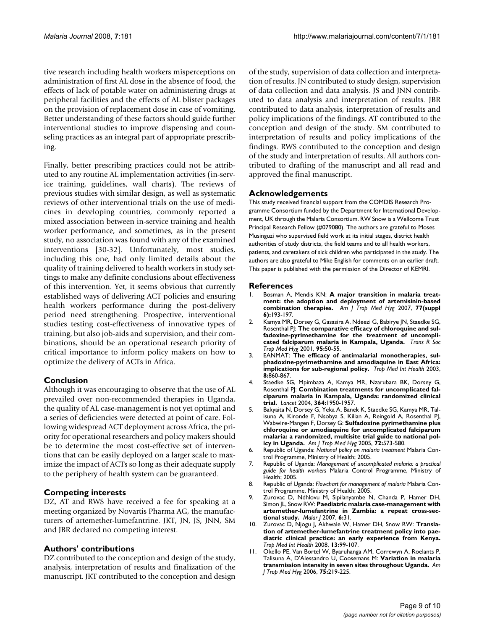tive research including health workers misperceptions on administration of first AL dose in the absence of food, the effects of lack of potable water on administering drugs at peripheral facilities and the effects of AL blister packages on the provision of replacement dose in case of vomiting. Better understanding of these factors should guide further interventional studies to improve dispensing and counseling practices as an integral part of appropriate prescribing.

Finally, better prescribing practices could not be attributed to any routine AL implementation activities (in-service training, guidelines, wall charts). The reviews of previous studies with similar design, as well as systematic reviews of other interventional trials on the use of medicines in developing countries, commonly reported a mixed association between in-service training and health worker performance, and sometimes, as in the present study, no association was found with any of the examined interventions [30-32]. Unfortunately, most studies, including this one, had only limited details about the quality of training delivered to health workers in study settings to make any definite conclusions about effectiveness of this intervention. Yet, it seems obvious that currently established ways of delivering ACT policies and ensuring health workers performance during the post-delivery period need strengthening. Prospective, interventional studies testing cost-effectiveness of innovative types of training, but also job-aids and supervision, and their combinations, should be an operational research priority of critical importance to inform policy makers on how to optimize the delivery of ACTs in Africa.

# **Conclusion**

Although it was encouraging to observe that the use of AL prevailed over non-recommended therapies in Uganda, the quality of AL case-management is not yet optimal and a series of deficiencies were detected at point of care. Following widespread ACT deployment across Africa, the priority for operational researchers and policy makers should be to determine the most cost-effective set of interventions that can be easily deployed on a larger scale to maximize the impact of ACTs so long as their adequate supply to the periphery of health system can be guaranteed.

# **Competing interests**

DZ, AT and RWS have received a fee for speaking at a meeting organized by Novartis Pharma AG, the manufacturers of artemether-lumefantrine. JKT, JN, JS, JNN, SM and JBR declared no competing interest.

# **Authors' contributions**

DZ contributed to the conception and design of the study, analysis, interpretation of results and finalization of the manuscript. JKT contributed to the conception and design

of the study, supervision of data collection and interpretation of results. JN contributed to study design, supervision of data collection and data analysis. JS and JNN contributed to data analysis and interpretation of results. JBR contributed to data analysis, interpretation of results and policy implications of the findings. AT contributed to the conception and design of the study. SM contributed to interpretation of results and policy implications of the findings. RWS contributed to the conception and design of the study and interpretation of results. All authors contributed to drafting of the manuscript and all read and approved the final manuscript.

# **Acknowledgements**

This study received financial support from the COMDIS Research Programme Consortium funded by the Department for International Development, UK through the Malaria Consortium. RW Snow is a Wellcome Trust Principal Research Fellow (#079080). The authors are grateful to Moses Musinguzi who supervised field work at its initial stages, district health authorities of study districts, the field teams and to all health workers, patients, and caretakers of sick children who participated in the study. The authors are also grateful to Mike English for comments on an earlier draft. This paper is published with the permission of the Director of KEMRI.

#### **References**

- 1. Bosman A, Mendis KN: **[A major transition in malaria treat](http://www.ncbi.nlm.nih.gov/entrez/query.fcgi?cmd=Retrieve&db=PubMed&dopt=Abstract&list_uids=18165492)[ment: the adoption and deployment of artemisinin-based](http://www.ncbi.nlm.nih.gov/entrez/query.fcgi?cmd=Retrieve&db=PubMed&dopt=Abstract&list_uids=18165492) [combination therapies.](http://www.ncbi.nlm.nih.gov/entrez/query.fcgi?cmd=Retrieve&db=PubMed&dopt=Abstract&list_uids=18165492)** *Am J Trop Med Hyg* 2007, **77(suppl 6):**193-197.
- 2. Kamya MR, Dorsey G, Gasasira A, Ndeezi G, Babirye JN, Staedke SG, Rosenthal PJ: **[The comparative efficacy of chloroquine and sul](http://www.ncbi.nlm.nih.gov/entrez/query.fcgi?cmd=Retrieve&db=PubMed&dopt=Abstract&list_uids=11280066)[fadoxine-pyrimethamine for the treatment of uncompli](http://www.ncbi.nlm.nih.gov/entrez/query.fcgi?cmd=Retrieve&db=PubMed&dopt=Abstract&list_uids=11280066)[cated falciparum malaria in Kampala, Uganda.](http://www.ncbi.nlm.nih.gov/entrez/query.fcgi?cmd=Retrieve&db=PubMed&dopt=Abstract&list_uids=11280066)** *Trans R Soc Trop Med Hyg* 2001, **95:**50-55.
- 3. EANMAT: **[The efficacy of antimalarial monotherapies, sul](http://www.ncbi.nlm.nih.gov/entrez/query.fcgi?cmd=Retrieve&db=PubMed&dopt=Abstract&list_uids=14516296)[phadoxine-pyrimethamine and amodiaquine in East Africa:](http://www.ncbi.nlm.nih.gov/entrez/query.fcgi?cmd=Retrieve&db=PubMed&dopt=Abstract&list_uids=14516296) [implications for sub-regional policy.](http://www.ncbi.nlm.nih.gov/entrez/query.fcgi?cmd=Retrieve&db=PubMed&dopt=Abstract&list_uids=14516296)** *Trop Med Int Health* 2003, **8:**860-867.
- 4. Staedke SG, Mpimbaza A, Kamya MR, Nzarubara BK, Dorsey G, Rosenthal PJ: **[Combination treatments for uncomplicated fal](http://www.ncbi.nlm.nih.gov/entrez/query.fcgi?cmd=Retrieve&db=PubMed&dopt=Abstract&list_uids=15567011)[ciparum malaria in Kampala, Uganda: randomized clinical](http://www.ncbi.nlm.nih.gov/entrez/query.fcgi?cmd=Retrieve&db=PubMed&dopt=Abstract&list_uids=15567011) [trial.](http://www.ncbi.nlm.nih.gov/entrez/query.fcgi?cmd=Retrieve&db=PubMed&dopt=Abstract&list_uids=15567011)** *Lancet* 2004, **364:**1950-1957.
- 5. Bakyaita N, Dorsey G, Yeka A, Banek K, Staedke SG, Kamya MR, Talisuna A, Kironde F, Nsobya S, Kilian A, Reingold A, Rosenthal PJ, Wabwire-Mangen F, Dorsey G: **[Sulfadoxine pyrimethamine plus](http://www.ncbi.nlm.nih.gov/entrez/query.fcgi?cmd=Retrieve&db=PubMed&dopt=Abstract&list_uids=15891132) [chloroquine or amodiaquine for uncomplicated falciparum](http://www.ncbi.nlm.nih.gov/entrez/query.fcgi?cmd=Retrieve&db=PubMed&dopt=Abstract&list_uids=15891132) malaria: a randomized, multisite trial guide to national pol[icy in Uganda.](http://www.ncbi.nlm.nih.gov/entrez/query.fcgi?cmd=Retrieve&db=PubMed&dopt=Abstract&list_uids=15891132)** *Am J Trop Med Hyg* 2005, **72:**573-580.
- 6. Republic of Uganda: *National policy on malaria treatment* Malaria Control Programme, Ministry of Health; 2005.
- 7. Republic of Uganda: *Management of uncomplicated malaria: a practical guide for health workers* Malaria Control Programme, Ministry of Health; 2005.
- 8. Republic of Uganda: *Flowchart for management of malaria* Malaria Control Programme, Ministry of Health; 2005.
- 9. Zurovac D, Ndhlovu M, Sipilanyambe N, Chanda P, Hamer DH, Simon JL, Snow RW: **[Paediatric malaria case-management with](http://www.ncbi.nlm.nih.gov/entrez/query.fcgi?cmd=Retrieve&db=PubMed&dopt=Abstract&list_uids=17367518) [artemether-lumefantrine in Zambia: a repeat cross-sec](http://www.ncbi.nlm.nih.gov/entrez/query.fcgi?cmd=Retrieve&db=PubMed&dopt=Abstract&list_uids=17367518)[tional study.](http://www.ncbi.nlm.nih.gov/entrez/query.fcgi?cmd=Retrieve&db=PubMed&dopt=Abstract&list_uids=17367518)** *Malar J* 2007, **6:**31.
- Zurovac D, Njogu J, Akhwale W, Hamer DH, Snow RW: [Transla](http://www.ncbi.nlm.nih.gov/entrez/query.fcgi?cmd=Retrieve&db=PubMed&dopt=Abstract&list_uids=18291008)**[tion of artemether-lumefantrine treatment policy into pae](http://www.ncbi.nlm.nih.gov/entrez/query.fcgi?cmd=Retrieve&db=PubMed&dopt=Abstract&list_uids=18291008)diatric clinical practice: an early experience from Kenya.** *Trop Med Int Health* 2008, **13:**99-107.
- 11. Okello PE, Van Bortel W, Byaruhanga AM, Correwyn A, Roelants P, Talisuna A, D'Alessandro U, Coosemans M: **[Variation in malaria](http://www.ncbi.nlm.nih.gov/entrez/query.fcgi?cmd=Retrieve&db=PubMed&dopt=Abstract&list_uids=16896122) [transmission intensity in seven sites throughout Uganda.](http://www.ncbi.nlm.nih.gov/entrez/query.fcgi?cmd=Retrieve&db=PubMed&dopt=Abstract&list_uids=16896122)** *Am J Trop Med Hyg* 2006, **75:**219-225.